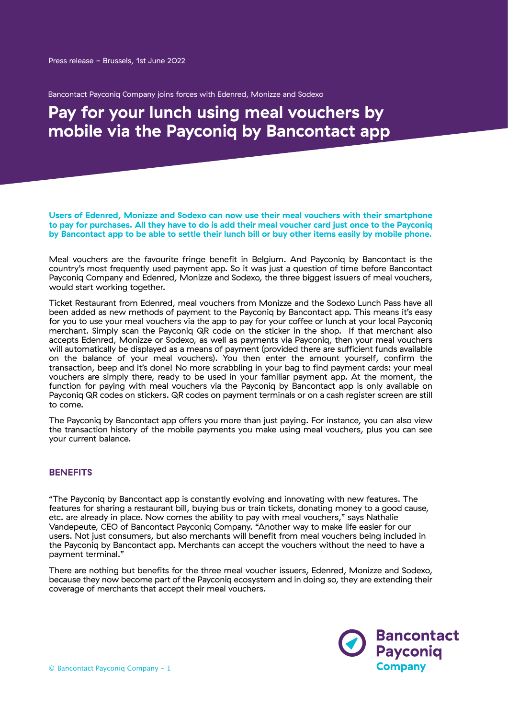Bancontact Payconiq Company joins forces with Edenred, Monizze and Sodexo

# **Pay for your lunch using meal vouchers by mobile via the Payconiq by Bancontact app**

**Users of Edenred, Monizze and Sodexo can now use their meal vouchers with their smartphone to pay for purchases. All they have to do is add their meal voucher card just once to the Payconiq by Bancontact app to be able to settle their lunch bill or buy other items easily by mobile phone.**

Meal vouchers are the favourite fringe benefit in Belgium. And Payconiq by Bancontact is the country's most frequently used payment app. So it was just a question of time before Bancontact Payconiq Company and Edenred, Monizze and Sodexo, the three biggest issuers of meal vouchers, would start working together.

Ticket Restaurant from Edenred, meal vouchers from Monizze and the Sodexo Lunch Pass have all been added as new methods of payment to the Payconiq by Bancontact app. This means it's easy for you to use your meal vouchers via the app to pay for your coffee or lunch at your local Payconiq merchant. Simply scan the Payconiq QR code on the sticker in the shop. If that merchant also accepts Edenred, Monizze or Sodexo, as well as payments via Payconiq, then your meal vouchers will automatically be displayed as a means of payment (provided there are sufficient funds available on the balance of your meal vouchers). You then enter the amount yourself, confirm the transaction, beep and it's done! No more scrabbling in your bag to find payment cards: your meal vouchers are simply there, ready to be used in your familiar payment app. At the moment, the function for paying with meal vouchers via the Payconiq by Bancontact app is only available on Payconiq QR codes on stickers. QR codes on payment terminals or on a cash register screen are still to come.

The Payconiq by Bancontact app offers you more than just paying. For instance, you can also view the transaction history of the mobile payments you make using meal vouchers, plus you can see your current balance.

### **BENEFITS**

"The Payconiq by Bancontact app is constantly evolving and innovating with new features. The features for sharing a restaurant bill, buying bus or train tickets, donating money to a good cause, etc. are already in place. Now comes the ability to pay with meal vouchers," says Nathalie Vandepeute, CEO of Bancontact Payconiq Company. "Another way to make life easier for our users. Not just consumers, but also merchants will benefit from meal vouchers being included in the Payconiq by Bancontact app. Merchants can accept the vouchers without the need to have a payment terminal."

There are nothing but benefits for the three meal voucher issuers, Edenred, Monizze and Sodexo, because they now become part of the Payconiq ecosystem and in doing so, they are extending their coverage of merchants that accept their meal vouchers.

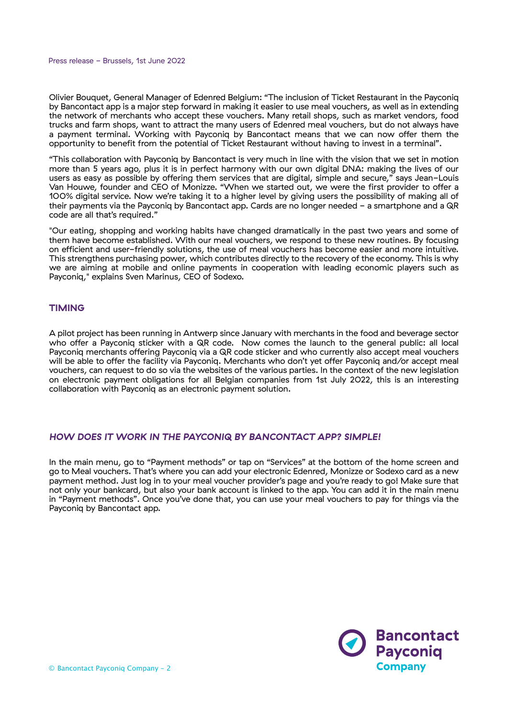#### Press release - Brussels, 1st June 2022

Olivier Bouquet, General Manager of Edenred Belgium: "The inclusion of Ticket Restaurant in the Payconiq by Bancontact app is a major step forward in making it easier to use meal vouchers, as well as in extending the network of merchants who accept these vouchers. Many retail shops, such as market vendors, food trucks and farm shops, want to attract the many users of Edenred meal vouchers, but do not always have a payment terminal. Working with Payconiq by Bancontact means that we can now offer them the opportunity to benefit from the potential of Ticket Restaurant without having to invest in a terminal".

"This collaboration with Payconiq by Bancontact is very much in line with the vision that we set in motion more than 5 years ago, plus it is in perfect harmony with our own digital DNA: making the lives of our users as easy as possible by offering them services that are digital, simple and secure," says Jean-Louis Van Houwe, founder and CEO of Monizze. "When we started out, we were the first provider to offer a 100% digital service. Now we're taking it to a higher level by giving users the possibility of making all of their payments via the Payconig by Bancontact app. Cards are no longer needed - a smartphone and a QR code are all that's required."

"Our eating, shopping and working habits have changed dramatically in the past two years and some of them have become established. With our meal vouchers, we respond to these new routines. By focusing on efficient and user-friendly solutions, the use of meal vouchers has become easier and more intuitive. This strengthens purchasing power, which contributes directly to the recovery of the economy. This is why we are aiming at mobile and online payments in cooperation with leading economic players such as Payconig," explains Sven Marinus, CEO of Sodexo.

## **TIMING**

A pilot project has been running in Antwerp since January with merchants in the food and beverage sector who offer a Payconiq sticker with a QR code. Now comes the launch to the general public: all local Payconiq merchants offering Payconiq via a QR code sticker and who currently also accept meal vouchers will be able to offer the facility via Payconiq. Merchants who don't yet offer Payconiq and/or accept meal vouchers, can request to do so via the websites of the various parties. In the context of the new legislation on electronic payment obligations for all Belgian companies from 1st July 2022, this is an interesting collaboration with Payconiq as an electronic payment solution.

#### *HOW DOES IT WORK IN THE PAYCONIQ BY BANCONTACT APP? SIMPLE!*

In the main menu, go to "Payment methods" or tap on "Services" at the bottom of the home screen and go to Meal vouchers. That's where you can add your electronic Edenred, Monizze or Sodexo card as a new payment method. Just log in to your meal voucher provider's page and you're ready to go! Make sure that not only your bankcard, but also your bank account is linked to the app. You can add it in the main menu in "Payment methods". Once you've done that, you can use your meal vouchers to pay for things via the Payconiq by Bancontact app.